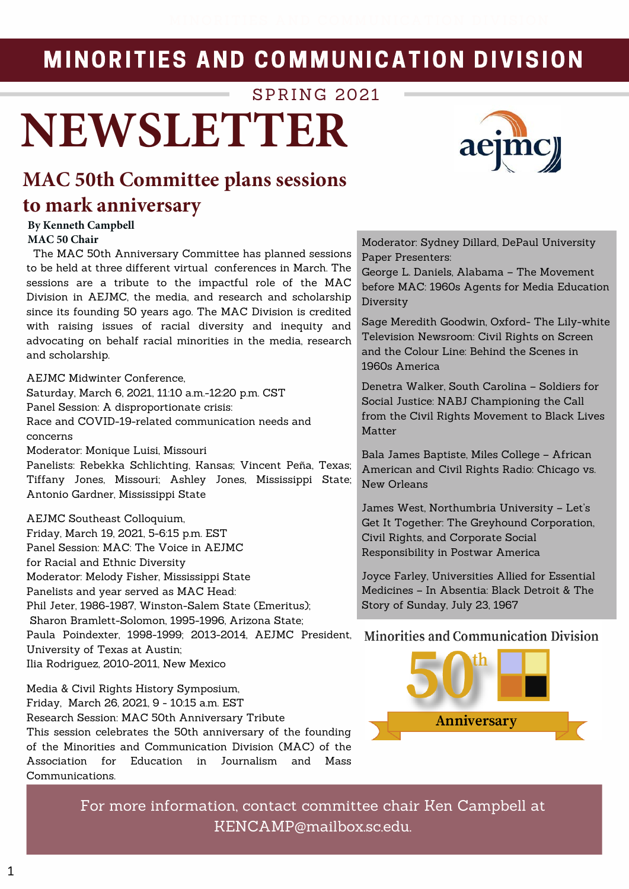## MINORITIES AND COMMUNICATION DIVISION

# SPRING 2021 **NEWSLETTER**



### **MAC 50th Committee plans sessions to mark anniversary**

#### **By Kenneth Campbell MAC 50 Chair**

 The MAC 50th Anniversary Committee has planned sessions to be held at three different virtual conferences in March. The sessions are a tribute to the impactful role of the MAC Division in AEJMC, the media, and research and scholarship since its founding 50 years ago. The MAC Division is credited with raising issues of racial diversity and inequity and advocating on behalf racial minorities in the media, research and scholarship.

AEJMC Midwinter Conference,

Saturday, March 6, 2021, 11:10 a.m.-12:20 p.m. CST Panel Session: A disproportionate crisis: Race and COVID-19-related communication needs and concerns Moderator: Monique Luisi, Missouri Panelists: Rebekka Schlichting, Kansas; Vincent Peña, Texas; Tiffany Jones, Missouri; Ashley Jones, Mississippi State; Antonio Gardner, Mississippi State

AEJMC Southeast Colloquium, Friday, March 19, 2021, 5-6:15 p.m. EST Panel Session: MAC: The Voice in AEJMC for Racial and Ethnic Diversity Moderator: Melody Fisher, Mississippi State Panelists and year served as MAC Head: Phil Jeter, 1986-1987, Winston-Salem State (Emeritus); Sharon Bramlett-Solomon, 1995-1996, Arizona State; Paula Poindexter, 1998-1999; 2013-2014, AEJMC President, University of Texas at Austin; Ilia Rodriguez, 2010-2011, New Mexico

Media & Civil Rights History Symposium, Friday, March 26, 2021, 9 - 10:15 a.m. EST Research Session: MAC 50th Anniversary Tribute This session celebrates the 50th anniversary of the founding of the Minorities and Communication Division (MAC) of the Association for Education in Journalism and Mass Communications.

Moderator: Sydney Dillard, DePaul University Paper Presenters:

George L. Daniels, Alabama – The Movement before MAC: 1960s Agents for Media Education Diversity

Sage Meredith Goodwin, Oxford- The Lily-white Television Newsroom: Civil Rights on Screen and the Colour Line: Behind the Scenes in 1960s America

Denetra Walker, South Carolina – Soldiers for Social Justice: NABJ Championing the Call from the Civil Rights Movement to Black Lives Matter

Bala James Baptiste, Miles College – African American and Civil Rights Radio: Chicago vs. New Orleans

James West, Northumbria University – Let's Get It Together: The Greyhound Corporation, Civil Rights, and Corporate Social Responsibility in Postwar America

Joyce Farley, Universities Allied for Essential Medicines – In Absentia: Black Detroit & The Story of Sunday, July 23, 1967

#### **Minorities and Communication Division**



For more information, contact committee chair Ken Campbell at KENCAMP@mailbox.sc.edu.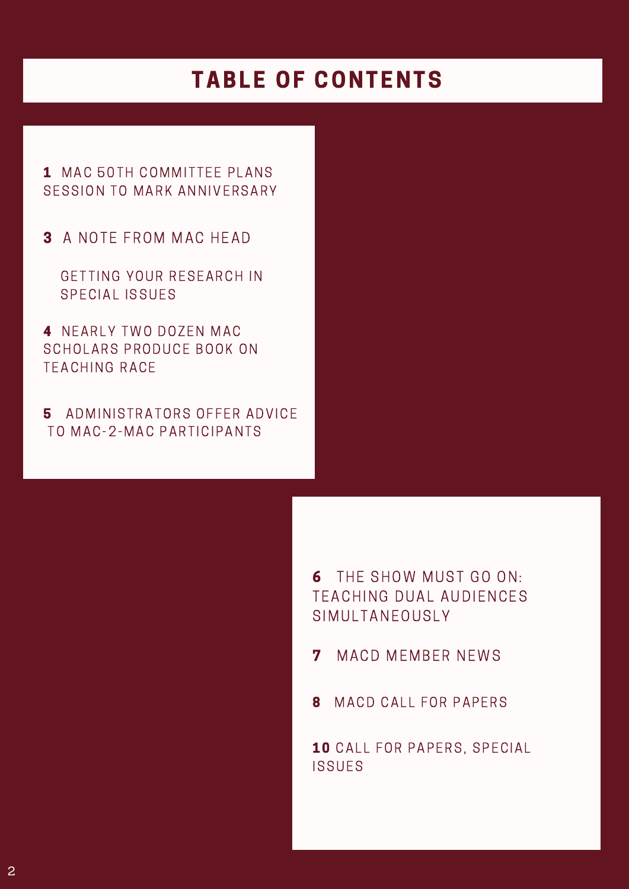## **TABLE OF CONTENTS**

#### 1 MAC 50TH COMMITTEE PLANS SESSION TO MARK ANNIVERSARY

**3** A NOTE FROM MAC HEAD

GETTING YOUR RESEARCH IN SPECIAL ISSUES

4 N F A R L Y T W O D O Z E N M A C SCHOLARS PRODUCE BOOK ON TEACHING RACE

5 ADMINISTRATORS OFFER ADVICE TO MAC-2-MAC PARTICIPANTS

> 6 THE SHOW MUST GO ON: TEACHING DUAL AUDIENCES SIMULTANEOUSLY

- **7** MACD MEMBER NEWS
- 8 MACD CALL FOR PAPERS

10 CALL FOR PAPERS, SPECIAL **ISSUES**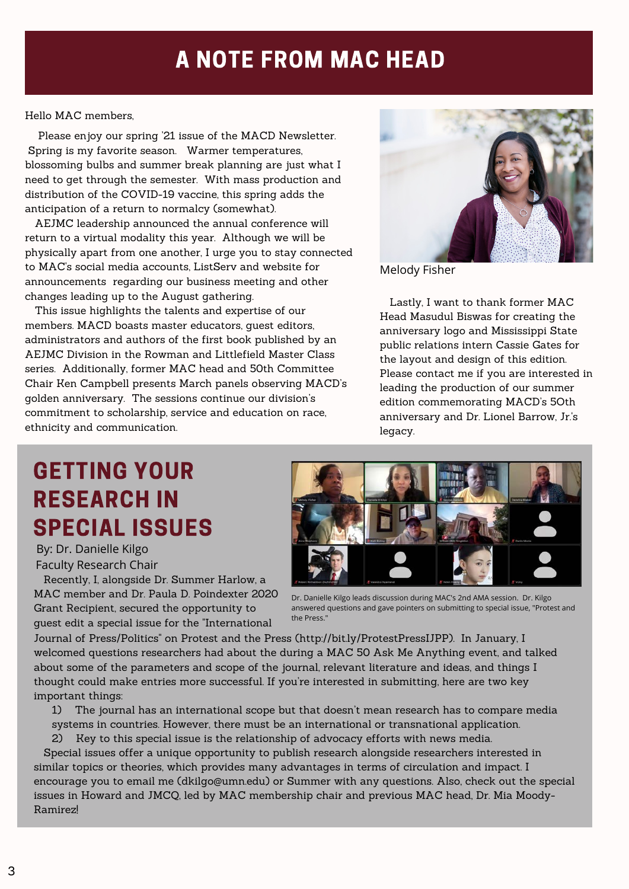### A NOTE FROM MAC HEAD

#### Hello MAC members,

 Please enjoy our spring '21 issue of the MACD Newsletter. Spring is my favorite season. Warmer temperatures, blossoming bulbs and summer break planning are just what I need to get through the semester. With mass production and distribution of the COVID-19 vaccine, this spring adds the anticipation of a return to normalcy (somewhat).

 AEJMC leadership announced the annual conference will return to a virtual modality this year. Although we will be physically apart from one another, I urge you to stay connected to MAC's social media accounts, ListServ and website for announcements regarding our business meeting and other changes leading up to the August gathering.

 This issue highlights the talents and expertise of our members. MACD boasts master educators, guest editors, administrators and authors of the first book published by an AEJMC Division in the Rowman and Littlefield Master Class series. Additionally, former MAC head and 50th Committee Chair Ken Campbell presents March panels observing MACD's golden anniversary. The sessions continue our division's commitment to scholarship, service and education on race, ethnicity and communication.



Melody Fisher

 Lastly, I want to thank former MAC Head Masudul Biswas for creating the anniversary logo and Mississippi State public relations intern Cassie Gates for the layout and design of this edition. Please contact me if you are interested in leading the production of our summer edition commemorating MACD's 5Oth anniversary and Dr. Lionel Barrow, Jr.'s legacy.

## GETTING YOUR RESEARCH IN SPECIAL ISSUES

By: Dr. Danielle Kilgo Faculty Research Chair

 Recently, I, alongside Dr. Summer Harlow, a MAC member and Dr. Paula D. Poindexter 2020 Grant Recipient, secured the opportunity to guest edit a special issue for the "International



Dr. Danielle Kilgo leads discussion during MAC's 2nd AMA session. Dr. Kilgo answered questions and gave pointers on submitting to special issue, "Protest and the Press."

Journal of Press/Politics" on Protest and the Press (http://bit.ly/ProtestPressIJPP). In January, I welcomed questions researchers had about the during a MAC 50 Ask Me Anything event, and talked about some of the parameters and scope of the journal, relevant literature and ideas, and things I thought could make entries more successful. If you're interested in submitting, here are two key important things:

1) The journal has an international scope but that doesn't mean research has to compare media systems in countries. However, there must be an international or transnational application.

2) Key to this special issue is the relationship of advocacy efforts with news media. Special issues offer a unique opportunity to publish research alongside researchers interested in similar topics or theories, which provides many advantages in terms of circulation and impact. I encourage you to email me (dkilgo@umn.edu) or Summer with any questions. Also, check out the special issues in Howard and JMCQ, led by MAC membership chair and previous MAC head, Dr. Mia Moody-Ramirez!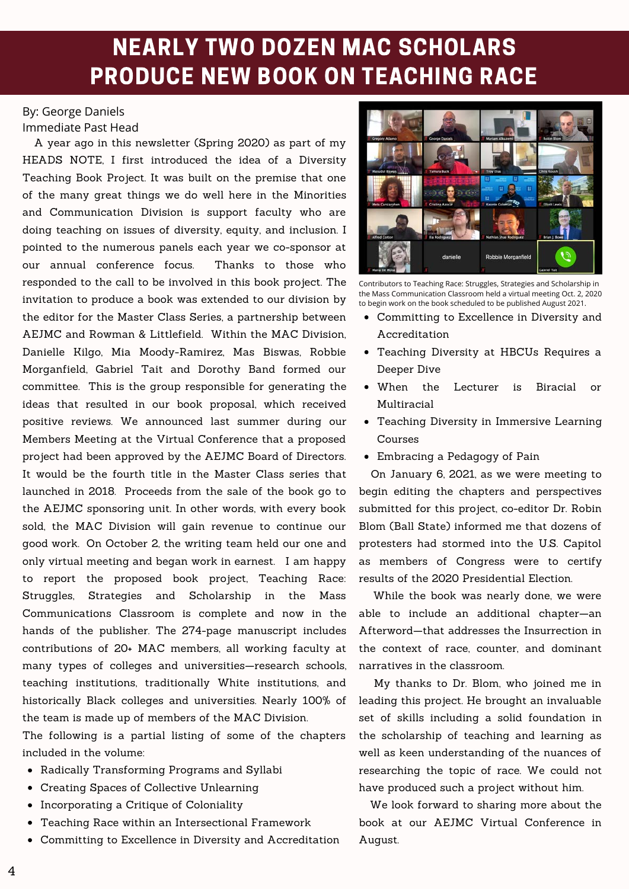### NEARLY TWO DOZEN MAC SCHOLARS PRODUCE NEW BOOK ON TEACHING RACE

#### By: George Daniels Immediate Past Head

 A year ago in this newsletter (Spring 2020) as part of my HEADS NOTE, I first introduced the idea of a Diversity Teaching Book Project. It was built on the premise that one of the many great things we do well here in the Minorities and Communication Division is support faculty who are doing teaching on issues of diversity, equity, and inclusion. I pointed to the numerous panels each year we co-sponsor at our annual conference focus. Thanks to those who responded to the call to be involved in this book project. The invitation to produce a book was extended to our division by the editor for the Master Class Series, a partnership between AEJMC and Rowman & Littlefield. Within the MAC Division, Danielle Kilgo, Mia Moody-Ramirez, Mas Biswas, Robbie Morganfield, Gabriel Tait and Dorothy Band formed our committee. This is the group responsible for generating the ideas that resulted in our book proposal, which received positive reviews. We announced last summer during our Members Meeting at the Virtual Conference that a proposed project had been approved by the AEJMC Board of Directors. It would be the fourth title in the Master Class series that launched in 2018. Proceeds from the sale of the book go to the AEJMC sponsoring unit. In other words, with every book sold, the MAC Division will gain revenue to continue our good work. On October 2, the writing team held our one and only virtual meeting and began work in earnest. I am happy to report the proposed book project, Teaching Race: Struggles, Strategies and Scholarship in the Mass Communications Classroom is complete and now in the hands of the publisher. The 274-page manuscript includes contributions of 20+ MAC members, all working faculty at many types of colleges and universities—research schools, teaching institutions, traditionally White institutions, and historically Black colleges and universities. Nearly 100% of the team is made up of members of the MAC Division.

The following is a partial listing of some of the chapters included in the volume:

- Radically Transforming Programs and Syllabi
- Creating Spaces of Collective Unlearning
- Incorporating a Critique of Coloniality
- Teaching Race within an Intersectional Framework
- Committing to Excellence in Diversity and Accreditation



Contributors to Teaching Race: Struggles, Strategies and Scholarship in the Mass Communication Classroom held a virtual meeting Oct. 2, 2020 to begin work on the book scheduled to be published August 2021.

- Committing to Excellence in Diversity and Accreditation
- Teaching Diversity at HBCUs Requires a Deeper Dive
- When the Lecturer is Biracial or Multiracial
- Teaching Diversity in Immersive Learning Courses
- Embracing a Pedagogy of Pain

 On January 6, 2021, as we were meeting to begin editing the chapters and perspectives submitted for this project, co-editor Dr. Robin Blom (Ball State) informed me that dozens of protesters had stormed into the U.S. Capitol as members of Congress were to certify results of the 2020 Presidential Election.

 While the book was nearly done, we were able to include an additional chapter—an Afterword—that addresses the Insurrection in the context of race, counter, and dominant narratives in the classroom.

 My thanks to Dr. Blom, who joined me in leading this project. He brought an invaluable set of skills including a solid foundation in the scholarship of teaching and learning as well as keen understanding of the nuances of researching the topic of race. We could not have produced such a project without him.

 We look forward to sharing more about the book at our AEJMC Virtual Conference in August.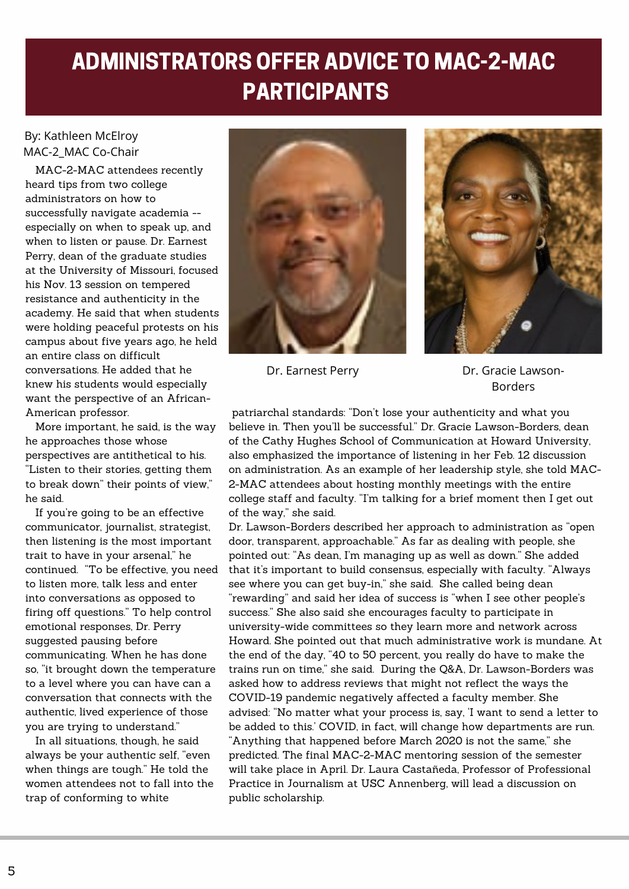## ADMINISTRATORS OFFER ADVICE TO MAC-2-MAC PARTICIPANTS

#### By: Kathleen McElroy MAC-2\_MAC Co-Chair

 MAC-2-MAC attendees recently heard tips from two college administrators on how to successfully navigate academia - especially on when to speak up, and when to listen or pause. Dr. Earnest Perry, dean of the graduate studies at the University of Missouri, focused his Nov. 13 session on tempered resistance and authenticity in the academy. He said that when students were holding peaceful protests on his campus about five years ago, he held an entire class on difficult conversations. He added that he knew his students would especially want the perspective of an African-American professor.

 More important, he said, is the way he approaches those whose perspectives are antithetical to his. "Listen to their stories, getting them to break down" their points of view," he said.

 If you're going to be an effective communicator, journalist, strategist, then listening is the most important trait to have in your arsenal," he continued. "To be effective, you need to listen more, talk less and enter into conversations as opposed to firing off questions." To help control emotional responses, Dr. Perry suggested pausing before communicating. When he has done so, "it brought down the temperature to a level where you can have can a conversation that connects with the authentic, lived experience of those you are trying to understand."

 In all situations, though, he said always be your authentic self, "even when things are tough." He told the women attendees not to fall into the trap of conforming to white





Dr. Earnest Perry

Dr. Gracie Lawson-Borders

patriarchal standards: "Don't lose your authenticity and what you believe in. Then you'll be successful." Dr. Gracie Lawson-Borders, dean of the Cathy Hughes School of Communication at Howard University, also emphasized the importance of listening in her Feb. 12 discussion on administration. As an example of her leadership style, she told MAC-2-MAC attendees about hosting monthly meetings with the entire college staff and faculty. "I'm talking for a brief moment then I get out of the way," she said.

Dr. Lawson-Borders described her approach to administration as "open door, transparent, approachable." As far as dealing with people, she pointed out: "As dean, I'm managing up as well as down." She added that it's important to build consensus, especially with faculty. "Always see where you can get buy-in," she said. She called being dean "rewarding" and said her idea of success is "when I see other people's success." She also said she encourages faculty to participate in university-wide committees so they learn more and network across Howard. She pointed out that much administrative work is mundane. At the end of the day, "40 to 50 percent, you really do have to make the trains run on time," she said. During the Q&A, Dr. Lawson-Borders was asked how to address reviews that might not reflect the ways the COVID-19 pandemic negatively affected a faculty member. She advised: "No matter what your process is, say, 'I want to send a letter to be added to this.' COVID, in fact, will change how departments are run. "Anything that happened before March 2020 is not the same," she predicted. The final MAC-2-MAC mentoring session of the semester will take place in April. Dr. Laura Castañeda, Professor of Professional Practice in Journalism at USC Annenberg, will lead a discussion on public scholarship.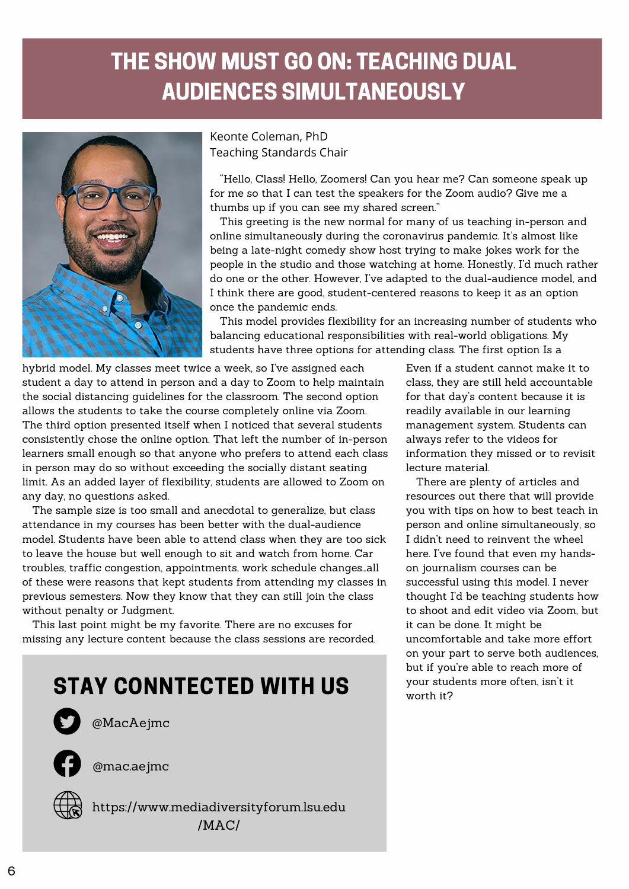## THE SHOW MUST GO ON: TEACHING DUAL AUDIENCES SIMULTANEOUSLY



Keonte Coleman, PhD Teaching Standards Chair

 "Hello, Class! Hello, Zoomers! Can you hear me? Can someone speak up for me so that I can test the speakers for the Zoom audio? Give me a thumbs up if you can see my shared screen."

 This greeting is the new normal for many of us teaching in-person and online simultaneously during the coronavirus pandemic. It's almost like being a late-night comedy show host trying to make jokes work for the people in the studio and those watching at home. Honestly, I'd much rather do one or the other. However, I've adapted to the dual-audience model, and I think there are good, student-centered reasons to keep it as an option once the pandemic ends.

 This model provides flexibility for an increasing number of students who balancing educational responsibilities with real-world obligations. My students have three options for attending class. The first option Is a

hybrid model. My classes meet twice a week, so I've assigned each student a day to attend in person and a day to Zoom to help maintain the social distancing guidelines for the classroom. The second option allows the students to take the course completely online via Zoom. The third option presented itself when I noticed that several students consistently chose the online option. That left the number of in-person learners small enough so that anyone who prefers to attend each class in person may do so without exceeding the socially distant seating limit. As an added layer of flexibility, students are allowed to Zoom on any day, no questions asked.

 The sample size is too small and anecdotal to generalize, but class attendance in my courses has been better with the dual-audience model. Students have been able to attend class when they are too sick to leave the house but well enough to sit and watch from home. Car troubles, traffic congestion, appointments, work schedule changes…all of these were reasons that kept students from attending my classes in previous semesters. Now they know that they can still join the class without penalty or Judgment.

 This last point might be my favorite. There are no excuses for missing any lecture content because the class sessions are recorded.

## STAY CONNTECTED WITH US



@MacAejmc



@mac.aejmc



https://www.mediadiversityforum.lsu.edu /MAC/

Even if a student cannot make it to class, they are still held accountable for that day's content because it is readily available in our learning management system. Students can always refer to the videos for information they missed or to revisit lecture material.

 There are plenty of articles and resources out there that will provide you with tips on how to best teach in person and online simultaneously, so I didn't need to reinvent the wheel here. I've found that even my handson journalism courses can be successful using this model. I never thought I'd be teaching students how to shoot and edit video via Zoom, but it can be done. It might be uncomfortable and take more effort on your part to serve both audiences, but if you're able to reach more of your students more often, isn't it worth it?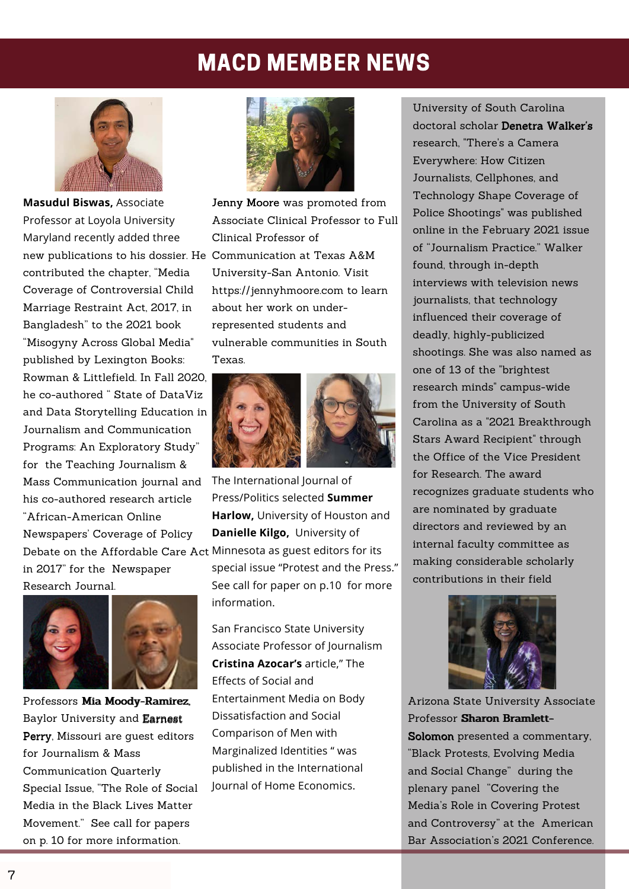### MACD MEMBER NEWS



. his co-authored research article new publications to his dossier. He Communication at Texas A&M **Masudul Biswas,** Associate Professor at Loyola University Maryland recently added three contributed the chapter, "Media Coverage of Controversial Child Marriage Restraint Act, 2017, in Bangladesh" to the 2021 book "Misogyny Across Global Media" published by Lexington Books: Rowman & Littlefield. In Fall 2020, he co-authored " State of DataViz and Data Storytelling Education in Journalism and Communication Programs: An Exploratory Study" for the Teaching Journalism & Mass Communication journal and "African-American Online Newspapers' Coverage of Policy Debate on the Affordable Care Act Minnesota as guest editors for its in 2017" for the Newspaper Research Journal.



Professors **Mia Moody-Ramirez,** Baylor University and **Earnest Perry**, Missouri are guest editors for Journalism & Mass Communication Quarterly Special Issue, "The Role of Social Media in the Black Lives Matter Movement." See call for papers on p. 10 for more information.



**Jenny Moore** was promoted from Associate Clinical Professor to Full Clinical Professor of University-San Antonio. Visit https://jennyhmoore.com to learn about her work on underrepresented students and vulnerable communities in South Texas.



The International Journal of Press/Politics selected **Summer Harlow,** University of Houston and **Danielle Kilgo,** University of special issue "Protest and the Press." See call for paper on p.10 for more information.

San Francisco State University Associate Professor of Journalism **Cristina Azocar's** article," The Effects of Social and Entertainment Media on Body Dissatisfaction and Social Comparison of Men with Marginalized Identities " was published in the International Journal of Home Economics.

University of South Carolina doctoral scholar Denetra Walker's Denetra Walker's research, "There's a Camera Everywhere: How Citizen Journalists, Cellphones, and Technology Shape Coverage of Police Shootings" was published online in the February 2021 issue of "Journalism Practice." Walker found, through in-depth interviews with television news journalists, that technology influenced their coverage of deadly, highly-publicized shootings. She was also named as one of 13 of the "brightest research minds" campus-wide from the University of South Carolina as a "2021 Breakthrough Stars Award Recipient" through the Office of the Vice President for Research. The award recognizes graduate students who are nominated by graduate directors and reviewed by an internal faculty committee as making considerable scholarly contributions in their field



Arizona State University Associate Professor Sharon Bramlett-Solomon presented a commentary, Solomon "Black Protests, Evolving Media and Social Change" during the plenary panel "Covering the Media's Role in Covering Protest and Controversy" at the American Bar Association's 2021 Conference.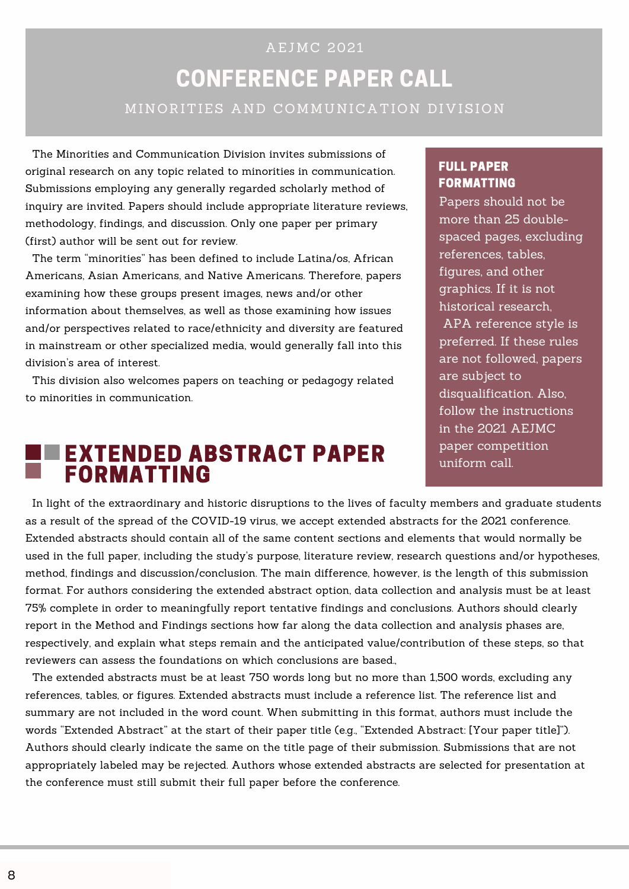### CONFERENCE PAPER CALL MINORITIES AND COMMUNICATION DIVISION AEJMC 2021

 The Minorities and Communication Division invites submissions of original research on any topic related to minorities in communication. Submissions employing any generally regarded scholarly method of inquiry are invited. Papers should include appropriate literature reviews, methodology, findings, and discussion. Only one paper per primary (first) author will be sent out for review.

 The term "minorities" has been defined to include Latina/os, African Americans, Asian Americans, and Native Americans. Therefore, papers examining how these groups present images, news and/or other information about themselves, as well as those examining how issues and/or perspectives related to race/ethnicity and diversity are featured in mainstream or other specialized media, would generally fall into this division's area of interest.

 This division also welcomes papers on teaching or pedagogy related to minorities in communication.

### **EXTENDED ABSTRACT PAPER** FORMATTING

#### FULL PAPER FORMATTING

Papers should not be more than 25 doublespaced pages, excluding references, tables, figures, and other graphics. If it is not historical research, APA reference style is preferred. If these rules are not followed, papers are subject to disqualification. Also, follow the instructions in the 2021 AEJMC paper competition uniform call.

In light of the extraordinary and historic disruptions to the lives of faculty members and graduate students as a result of the spread of the COVID-19 virus, we accept extended abstracts for the 2021 conference. Extended abstracts should contain all of the same content sections and elements that would normally be used in the full paper, including the study's purpose, literature review, research questions and/or hypotheses, method, findings and discussion/conclusion. The main difference, however, is the length of this submission format. For authors considering the extended abstract option, data collection and analysis must be at least 75% complete in order to meaningfully report tentative findings and conclusions. Authors should clearly report in the Method and Findings sections how far along the data collection and analysis phases are, respectively, and explain what steps remain and the anticipated value/contribution of these steps, so that reviewers can assess the foundations on which conclusions are based.,

 The extended abstracts must be at least 750 words long but no more than 1,500 words, excluding any references, tables, or figures. Extended abstracts must include a reference list. The reference list and summary are not included in the word count. When submitting in this format, authors must include the words "Extended Abstract" at the start of their paper title (e.g., "Extended Abstract: [Your paper title]"). Authors should clearly indicate the same on the title page of their submission. Submissions that are not appropriately labeled may be rejected. Authors whose extended abstracts are selected for presentation at the conference must still submit their full paper before the conference.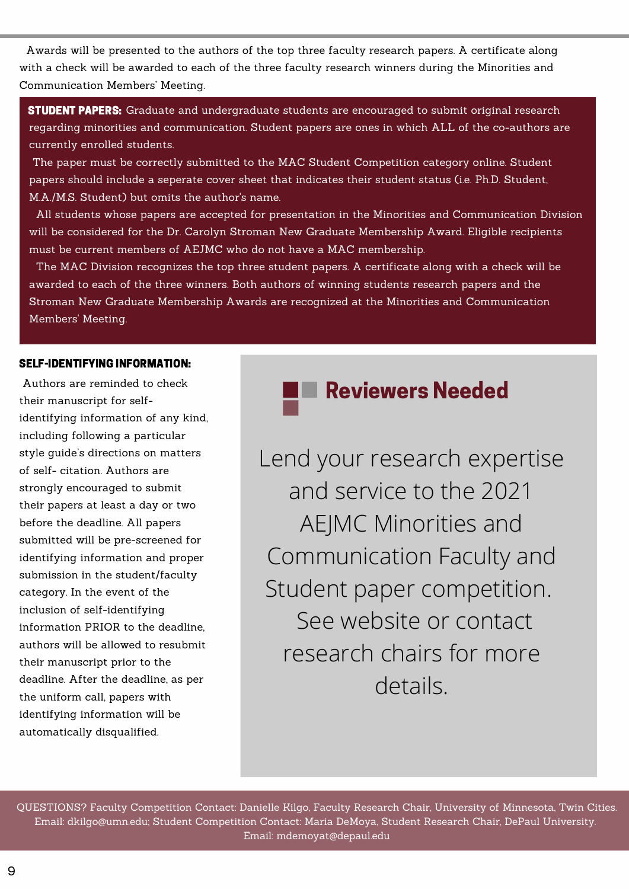Communication Members' Meeting. Awards will be presented to the authors of the top three faculty research papers. A certificate along with a check will be awarded to each of the three faculty research winners during the Minorities and

STUDENT PAPERS: Graduate and undergraduate students are encouraged to submit original research regarding minorities and communication. Student papers are ones in which ALL of the co-authors are currently enrolled students.

The paper must be correctly submitted to the MAC Student Competition category online. Student papers should include a seperate cover sheet that indicates their student status (i.e. Ph.D. Student, M.A./M.S. Student) but omits the author's name.

 All students whose papers are accepted for presentation in the Minorities and Communication Division will be considered for the Dr. Carolyn Stroman New Graduate Membership Award. Eligible recipients must be current members of AEJMC who do not have a MAC membership.

 The MAC Division recognizes the top three student papers. A certificate along with a check will be awarded to each of the three winners. Both authors of winning students research papers and the Stroman New Graduate Membership Awards are recognized at the Minorities and Communication Members' Meeting.

### SELF-IDENTIFYING INFORMATION:

Authors are reminded to check their manuscript for selfidentifying information of any kind, including following a particular style guide's directions on matters of self- citation. Authors are strongly encouraged to submit their papers at least a day or two before the deadline. All papers submitted will be pre-screened for identifying information and proper submission in the student/faculty category. In the event of the inclusion of self-identifying information PRIOR to the deadline, authors will be allowed to resubmit their manuscript prior to the deadline. After the deadline, as per the uniform call, papers with identifying information will be automatically disqualified.

### **Reviewers Needed**

Lend your research expertise and service to the 2021 AEJMC Minorities and Communication Faculty and Student paper competition. See website or contact research chairs for more details.

QUESTIONS? Faculty Competition Contact: Danielle Kilgo, Faculty Research Chair, University of Minnesota, Twin Cities. Email: dkilgo@umn.edu; Student Competition Contact: Maria DeMoya, Student Research Chair, DePaul University. Email: mdemoyat@depaul.edu